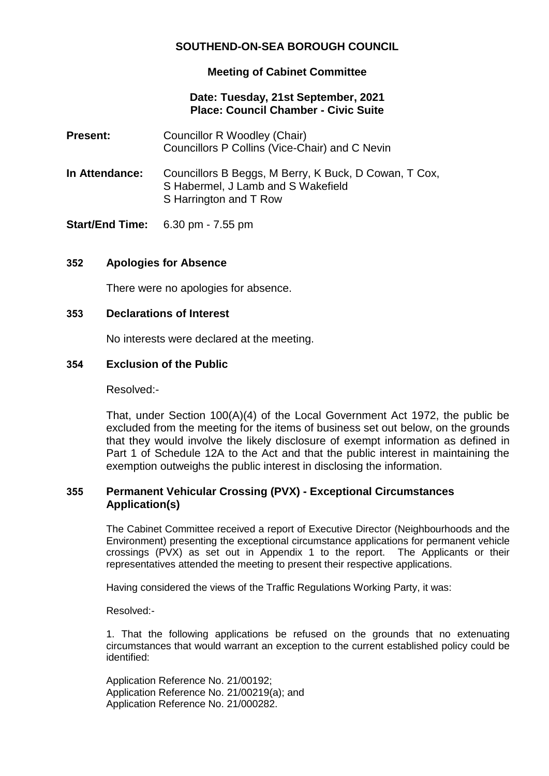# **SOUTHEND-ON-SEA BOROUGH COUNCIL**

## **Meeting of Cabinet Committee**

## **Date: Tuesday, 21st September, 2021 Place: Council Chamber - Civic Suite**

- **Present:** Councillor R Woodley (Chair) Councillors P Collins (Vice-Chair) and C Nevin
- **In Attendance:** Councillors B Beggs, M Berry, K Buck, D Cowan, T Cox, S Habermel, J Lamb and S Wakefield S Harrington and T Row
- **Start/End Time:** 6.30 pm 7.55 pm

### **352 Apologies for Absence**

There were no apologies for absence.

#### **353 Declarations of Interest**

No interests were declared at the meeting.

#### **354 Exclusion of the Public**

Resolved:-

That, under Section 100(A)(4) of the Local Government Act 1972, the public be excluded from the meeting for the items of business set out below, on the grounds that they would involve the likely disclosure of exempt information as defined in Part 1 of Schedule 12A to the Act and that the public interest in maintaining the exemption outweighs the public interest in disclosing the information.

### **355 Permanent Vehicular Crossing (PVX) - Exceptional Circumstances Application(s)**

The Cabinet Committee received a report of Executive Director (Neighbourhoods and the Environment) presenting the exceptional circumstance applications for permanent vehicle crossings (PVX) as set out in Appendix 1 to the report. The Applicants or their representatives attended the meeting to present their respective applications.

Having considered the views of the Traffic Regulations Working Party, it was:

Resolved:-

1. That the following applications be refused on the grounds that no extenuating circumstances that would warrant an exception to the current established policy could be identified:

Application Reference No. 21/00192; Application Reference No. 21/00219(a); and Application Reference No. 21/000282.